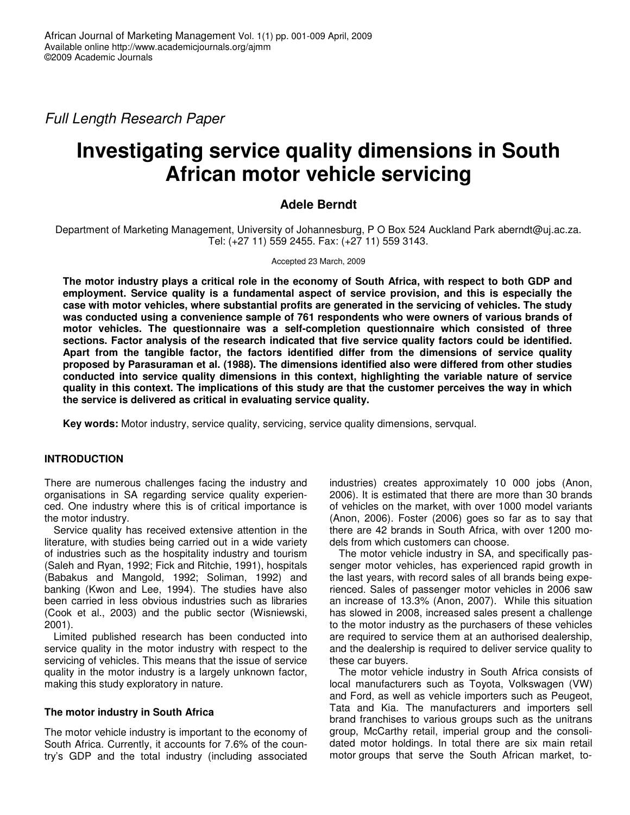*Full Length Research Paper*

# **Investigating service quality dimensions in South African motor vehicle servicing**

# **Adele Berndt**

Department of Marketing Management, University of Johannesburg, P O Box 524 Auckland Park aberndt@uj.ac.za. Tel: (+27 11) 559 2455. Fax: (+27 11) 559 3143.

#### Accepted 23 March, 2009

The motor industry plays a critical role in the economy of South Africa, with respect to both GDP and **employment. Service quality is a fundamental aspect of service provision, and this is especially the case with motor vehicles, where substantial profits are generated in the servicing of vehicles. The study was conducted using a convenience sample of 761 respondents who were owners of various brands of motor vehicles. The questionnaire was a self-completion questionnaire which consisted of three sections. Factor analysis of the research indicated that five service quality factors could be identified. Apart from the tangible factor, the factors identified differ from the dimensions of service quality proposed by Parasuraman et al. (1988). The dimensions identified also were differed from other studies conducted into service quality dimensions in this context, highlighting the variable nature of service** quality in this context. The implications of this study are that the customer perceives the way in which **the service is delivered as critical in evaluating service quality.**

**Key words:** Motor industry, service quality, servicing, service quality dimensions, servqual.

## **INTRODUCTION**

There are numerous challenges facing the industry and organisations in SA regarding service quality experienced. One industry where this is of critical importance is the motor industry.

Service quality has received extensive attention in the literature, with studies being carried out in a wide variety of industries such as the hospitality industry and tourism (Saleh and Ryan, 1992; Fick and Ritchie, 1991), hospitals (Babakus and Mangold, 1992; Soliman, 1992) and banking (Kwon and Lee, 1994). The studies have also been carried in less obvious industries such as libraries (Cook et al., 2003) and the public sector (Wisniewski, 2001).

Limited published research has been conducted into service quality in the motor industry with respect to the servicing of vehicles. This means that the issue of service quality in the motor industry is a largely unknown factor, making this study exploratory in nature.

#### **The motor industry in South Africa**

The motor vehicle industry is important to the economy of South Africa. Currently, it accounts for 7.6% of the country's GDP and the total industry (including associated

industries) creates approximately 10 000 jobs (Anon, 2006). It is estimated that there are more than 30 brands of vehicles on the market, with over 1000 model variants (Anon, 2006). Foster (2006) goes so far as to say that there are 42 brands in South Africa, with over 1200 models from which customers can choose.

The motor vehicle industry in SA, and specifically passenger motor vehicles, has experienced rapid growth in the last years, with record sales of all brands being experienced. Sales of passenger motor vehicles in 2006 saw an increase of 13.3% (Anon, 2007). While this situation has slowed in 2008, increased sales present a challenge to the motor industry as the purchasers of these vehicles are required to service them at an authorised dealership, and the dealership is required to deliver service quality to these car buyers.

The motor vehicle industry in South Africa consists of local manufacturers such as Toyota, Volkswagen (VW) and Ford, as well as vehicle importers such as Peugeot, Tata and Kia. The manufacturers and importers sell brand franchises to various groups such as the unitrans group, McCarthy retail, imperial group and the consolidated motor holdings. In total there are six main retail motor groups that serve the South African market, to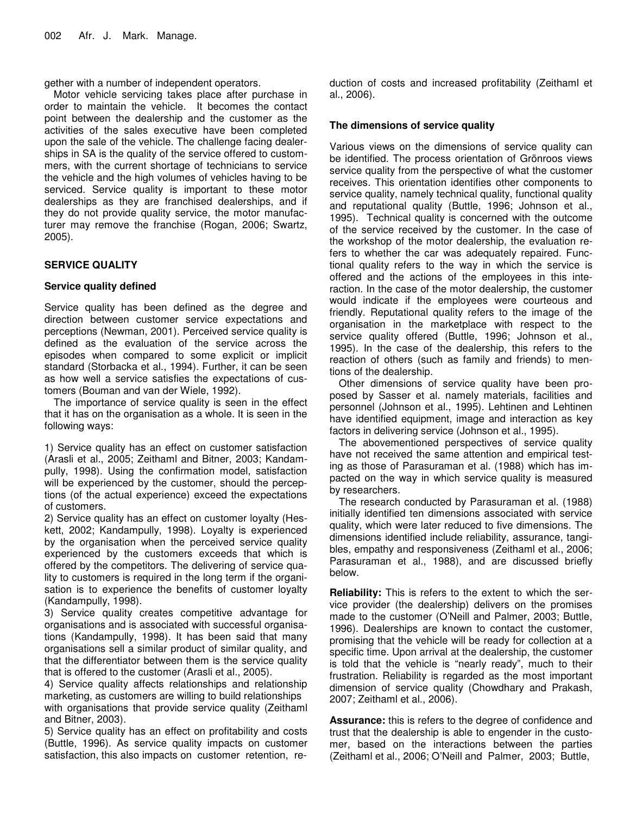gether with a number of independent operators.

Motor vehicle servicing takes place after purchase in order to maintain the vehicle. It becomes the contact point between the dealership and the customer as the activities of the sales executive have been completed upon the sale of the vehicle. The challenge facing dealerships in SA is the quality of the service offered to custommers, with the current shortage of technicians to service the vehicle and the high volumes of vehicles having to be serviced. Service quality is important to these motor dealerships as they are franchised dealerships, and if they do not provide quality service, the motor manufacturer may remove the franchise (Rogan, 2006; Swartz, 2005).

## **SERVICE QUALITY**

## **Service quality defined**

Service quality has been defined as the degree and direction between customer service expectations and perceptions (Newman, 2001). Perceived service quality is defined as the evaluation of the service across the episodes when compared to some explicit or implicit standard (Storbacka et al., 1994). Further, it can be seen as how well a service satisfies the expectations of customers (Bouman and van der Wiele, 1992).

The importance of service quality is seen in the effect that it has on the organisation as a whole. It is seen in the following ways:

1) Service quality has an effect on customer satisfaction (Arasli et al., 2005; Zeithaml and Bitner, 2003; Kandampully, 1998). Using the confirmation model, satisfaction will be experienced by the customer, should the perceptions (of the actual experience) exceed the expectations of customers.

2) Service quality has an effect on customer loyalty (Heskett, 2002; Kandampully, 1998). Loyalty is experienced by the organisation when the perceived service quality experienced by the customers exceeds that which is offered by the competitors. The delivering of service quality to customers is required in the long term if the organisation is to experience the benefits of customer loyalty (Kandampully, 1998).

3) Service quality creates competitive advantage for organisations and is associated with successful organisations (Kandampully, 1998). It has been said that many organisations sell a similar product of similar quality, and that the differentiator between them is the service quality that is offered to the customer (Arasli et al., 2005).

4) Service quality affects relationships and relationship marketing, as customers are willing to build relationships with organisations that provide service quality (Zeithaml and Bitner, 2003).

5) Service quality has an effect on profitability and costs (Buttle, 1996). As service quality impacts on customer satisfaction, this also impacts on customer retention, reduction of costs and increased profitability (Zeithaml et al., 2006).

## **The dimensions of service quality**

Various views on the dimensions of service quality can be identified. The process orientation of Grönroos views service quality from the perspective of what the customer receives. This orientation identifies other components to service quality, namely technical quality, functional quality and reputational quality (Buttle, 1996; Johnson et al., 1995). Technical quality is concerned with the outcome of the service received by the customer. In the case of the workshop of the motor dealership, the evaluation refers to whether the car was adequately repaired. Functional quality refers to the way in which the service is offered and the actions of the employees in this interaction. In the case of the motor dealership, the customer would indicate if the employees were courteous and friendly. Reputational quality refers to the image of the organisation in the marketplace with respect to the service quality offered (Buttle, 1996; Johnson et al., 1995). In the case of the dealership, this refers to the reaction of others (such as family and friends) to mentions of the dealership.

Other dimensions of service quality have been proposed by Sasser et al. namely materials, facilities and personnel (Johnson et al., 1995). Lehtinen and Lehtinen have identified equipment, image and interaction as key factors in delivering service (Johnson et al., 1995).

The abovementioned perspectives of service quality have not received the same attention and empirical testing as those of Parasuraman et al. (1988) which has impacted on the way in which service quality is measured by researchers.

The research conducted by Parasuraman et al. (1988) initially identified ten dimensions associated with service quality, which were later reduced to five dimensions. The dimensions identified include reliability, assurance, tangibles, empathy and responsiveness (Zeithaml et al., 2006; Parasuraman et al., 1988), and are discussed briefly below.

**Reliability:** This is refers to the extent to which the service provider (the dealership) delivers on the promises made to the customer (O'Neill and Palmer, 2003; Buttle, 1996). Dealerships are known to contact the customer, promising that the vehicle will be ready for collection at a specific time. Upon arrival at the dealership, the customer is told that the vehicle is "nearly ready", much to their frustration. Reliability is regarded as the most important dimension of service quality (Chowdhary and Prakash, 2007; Zeithaml et al., 2006).

**Assurance:** this is refers to the degree of confidence and trust that the dealership is able to engender in the customer, based on the interactions between the parties (Zeithaml et al., 2006; O'Neill and Palmer, 2003; Buttle,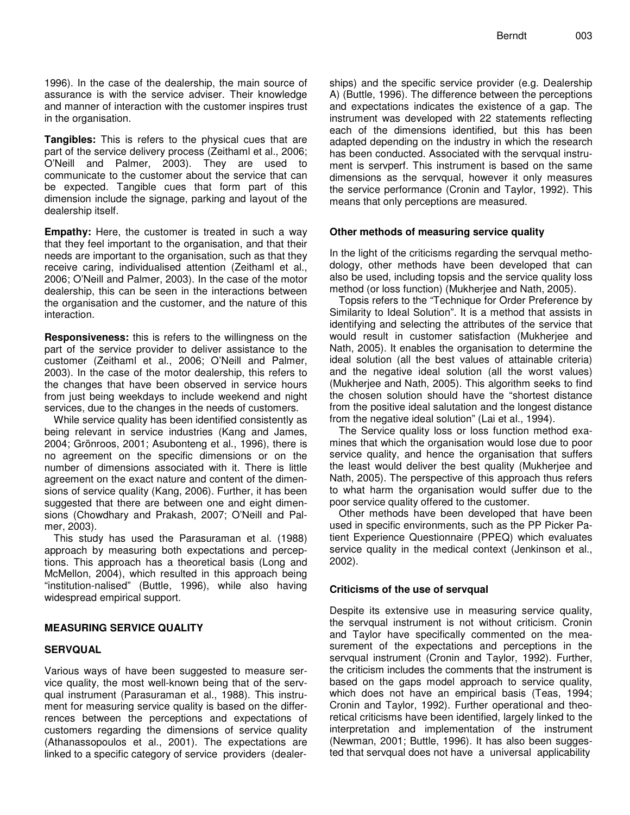1996). In the case of the dealership, the main source of assurance is with the service adviser. Their knowledge and manner of interaction with the customer inspires trust in the organisation.

**Tangibles:** This is refers to the physical cues that are part of the service delivery process (Zeithaml et al., 2006; O'Neill and Palmer, 2003). They are used to communicate to the customer about the service that can be expected. Tangible cues that form part of this dimension include the signage, parking and layout of the dealership itself.

**Empathy:** Here, the customer is treated in such a way that they feel important to the organisation, and that their needs are important to the organisation, such as that they receive caring, individualised attention (Zeithaml et al., 2006; O'Neill and Palmer, 2003). In the case of the motor dealership, this can be seen in the interactions between the organisation and the customer, and the nature of this interaction.

**Responsiveness:** this is refers to the willingness on the part of the service provider to deliver assistance to the customer (Zeithaml et al., 2006; O'Neill and Palmer, 2003). In the case of the motor dealership, this refers to the changes that have been observed in service hours from just being weekdays to include weekend and night services, due to the changes in the needs of customers.

While service quality has been identified consistently as being relevant in service industries (Kang and James, 2004; Grönroos, 2001; Asubonteng et al., 1996), there is no agreement on the specific dimensions or on the number of dimensions associated with it. There is little agreement on the exact nature and content of the dimensions of service quality (Kang, 2006). Further, it has been suggested that there are between one and eight dimensions (Chowdhary and Prakash, 2007; O'Neill and Palmer, 2003).

This study has used the Parasuraman et al. (1988) approach by measuring both expectations and perceptions. This approach has a theoretical basis (Long and McMellon, 2004), which resulted in this approach being "institution-nalised" (Buttle, 1996), while also having widespread empirical support.

#### **MEASURING SERVICE QUALITY**

#### **SERVQUAL**

Various ways of have been suggested to measure service quality, the most well-known being that of the servqual instrument (Parasuraman et al., 1988). This instrument for measuring service quality is based on the differrences between the perceptions and expectations of customers regarding the dimensions of service quality (Athanassopoulos et al., 2001). The expectations are linked to a specific category of service providers (dealer-

ships) and the specific service provider (e.g. Dealership A) (Buttle, 1996). The difference between the perceptions and expectations indicates the existence of a gap. The instrument was developed with 22 statements reflecting each of the dimensions identified, but this has been adapted depending on the industry in which the research has been conducted. Associated with the servqual instrument is servperf. This instrument is based on the same dimensions as the servqual, however it only measures the service performance (Cronin and Taylor, 1992). This means that only perceptions are measured.

## **Other methods of measuring service quality**

In the light of the criticisms regarding the servqual methodology, other methods have been developed that can also be used, including topsis and the service quality loss method (or loss function) (Mukherjee and Nath, 2005).

Topsis refers to the "Technique for Order Preference by Similarity to Ideal Solution". It is a method that assists in identifying and selecting the attributes of the service that would result in customer satisfaction (Mukherjee and Nath, 2005). It enables the organisation to determine the ideal solution (all the best values of attainable criteria) and the negative ideal solution (all the worst values) (Mukherjee and Nath, 2005). This algorithm seeks to find the chosen solution should have the "shortest distance from the positive ideal salutation and the longest distance from the negative ideal solution" (Lai et al., 1994).

The Service quality loss or loss function method examines that which the organisation would lose due to poor service quality, and hence the organisation that suffers the least would deliver the best quality (Mukherjee and Nath, 2005). The perspective of this approach thus refers to what harm the organisation would suffer due to the poor service quality offered to the customer.

Other methods have been developed that have been used in specific environments, such as the PP Picker Patient Experience Questionnaire (PPEQ) which evaluates service quality in the medical context (Jenkinson et al., 2002).

#### **Criticisms of the use of servqual**

Despite its extensive use in measuring service quality, the servqual instrument is not without criticism. Cronin and Taylor have specifically commented on the measurement of the expectations and perceptions in the servqual instrument (Cronin and Taylor, 1992). Further, the criticism includes the comments that the instrument is based on the gaps model approach to service quality, which does not have an empirical basis (Teas, 1994; Cronin and Taylor, 1992). Further operational and theoretical criticisms have been identified, largely linked to the interpretation and implementation of the instrument (Newman, 2001; Buttle, 1996). It has also been suggested that servqual does not have a universal applicability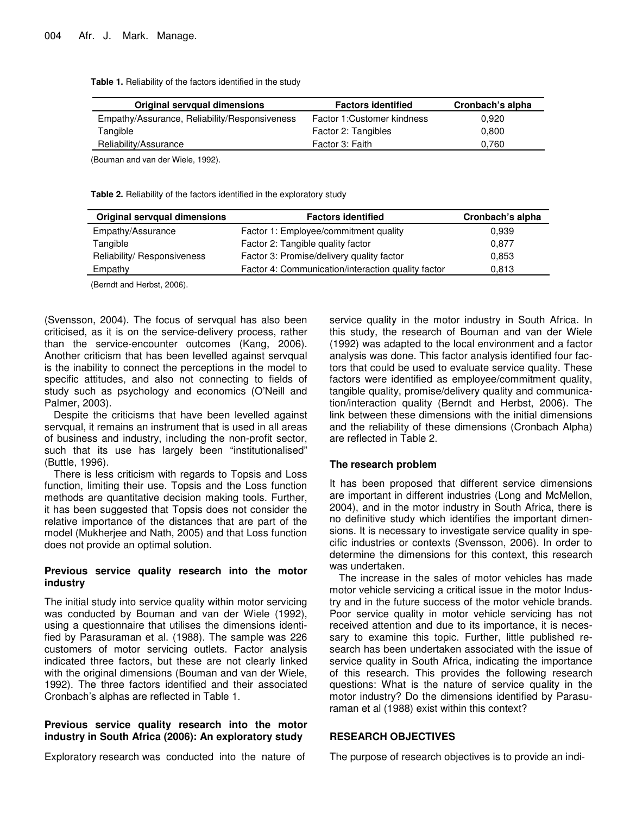**Table 1.** Reliability of the factors identified in the study

| Original servqual dimensions                  | <b>Factors identified</b>   | Cronbach's alpha |
|-----------------------------------------------|-----------------------------|------------------|
| Empathy/Assurance, Reliability/Responsiveness | Factor 1: Customer kindness | 0.920            |
| Tangible                                      | Factor 2: Tangibles         | 0.800            |
| Reliability/Assurance                         | Factor 3: Faith             | 0.760            |
|                                               |                             |                  |

(Bouman and van der Wiele, 1992).

**Table 2.** Reliability of the factors identified in the exploratory study

| Original servqual dimensions | <b>Factors identified</b>                          | Cronbach's alpha |
|------------------------------|----------------------------------------------------|------------------|
| Empathy/Assurance            | Factor 1: Employee/commitment quality              | 0.939            |
| Tangible                     | Factor 2: Tangible quality factor                  | 0.877            |
| Reliability/ Responsiveness  | Factor 3: Promise/delivery quality factor          | 0,853            |
| Empathy                      | Factor 4: Communication/interaction quality factor | 0,813            |

(Berndt and Herbst, 2006).

(Svensson, 2004). The focus of servqual has also been criticised, as it is on the service-delivery process, rather than the service-encounter outcomes (Kang, 2006). Another criticism that has been levelled against servqual is the inability to connect the perceptions in the model to specific attitudes, and also not connecting to fields of study such as psychology and economics (O'Neill and Palmer, 2003).

Despite the criticisms that have been levelled against servqual, it remains an instrument that is used in all areas of business and industry, including the non-profit sector, such that its use has largely been "institutionalised" (Buttle, 1996).

There is less criticism with regards to Topsis and Loss function, limiting their use. Topsis and the Loss function methods are quantitative decision making tools. Further, it has been suggested that Topsis does not consider the relative importance of the distances that are part of the model (Mukherjee and Nath, 2005) and that Loss function does not provide an optimal solution.

#### **Previous service quality research into the motor industry**

The initial study into service quality within motor servicing was conducted by Bouman and van der Wiele (1992), using a questionnaire that utilises the dimensions identified by Parasuraman et al. (1988). The sample was 226 customers of motor servicing outlets. Factor analysis indicated three factors, but these are not clearly linked with the original dimensions (Bouman and van der Wiele, 1992). The three factors identified and their associated Cronbach's alphas are reflected in Table 1.

#### **Previous service quality research into the motor industry in South Africa (2006): An exploratory study**

Exploratory research was conducted into the nature of

service quality in the motor industry in South Africa. In this study, the research of Bouman and van der Wiele (1992) was adapted to the local environment and a factor analysis was done. This factor analysis identified four factors that could be used to evaluate service quality. These factors were identified as employee/commitment quality, tangible quality, promise/delivery quality and communication/interaction quality (Berndt and Herbst, 2006). The link between these dimensions with the initial dimensions and the reliability of these dimensions (Cronbach Alpha) are reflected in Table 2.

#### **The research problem**

It has been proposed that different service dimensions are important in different industries (Long and McMellon, 2004), and in the motor industry in South Africa, there is no definitive study which identifies the important dimensions. It is necessary to investigate service quality in specific industries or contexts (Svensson, 2006). In order to determine the dimensions for this context, this research was undertaken.

The increase in the sales of motor vehicles has made motor vehicle servicing a critical issue in the motor Industry and in the future success of the motor vehicle brands. Poor service quality in motor vehicle servicing has not received attention and due to its importance, it is necessary to examine this topic. Further, little published research has been undertaken associated with the issue of service quality in South Africa, indicating the importance of this research. This provides the following research questions: What is the nature of service quality in the motor industry? Do the dimensions identified by Parasuraman et al (1988) exist within this context?

## **RESEARCH OBJECTIVES**

The purpose of research objectives is to provide an indi-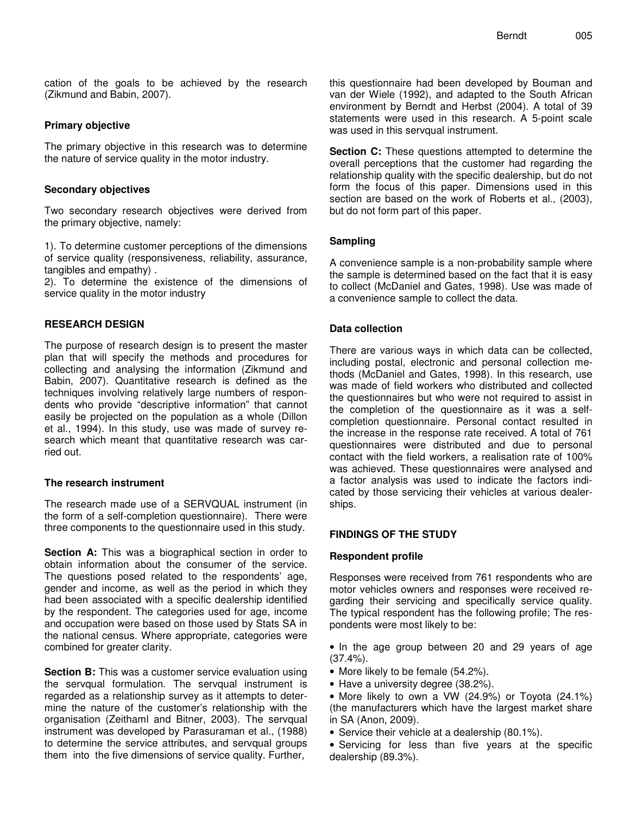cation of the goals to be achieved by the research (Zikmund and Babin, 2007).

### **Primary objective**

The primary objective in this research was to determine the nature of service quality in the motor industry.

### **Secondary objectives**

Two secondary research objectives were derived from the primary objective, namely:

1). To determine customer perceptions of the dimensions of service quality (responsiveness, reliability, assurance, tangibles and empathy) .

2). To determine the existence of the dimensions of service quality in the motor industry

## **RESEARCH DESIGN**

The purpose of research design is to present the master plan that will specify the methods and procedures for collecting and analysing the information (Zikmund and Babin, 2007). Quantitative research is defined as the techniques involving relatively large numbers of respondents who provide "descriptive information" that cannot easily be projected on the population as a whole (Dillon et al., 1994). In this study, use was made of survey research which meant that quantitative research was carried out.

#### **The research instrument**

The research made use of a SERVQUAL instrument (in the form of a self-completion questionnaire). There were three components to the questionnaire used in this study.

**Section A:** This was a biographical section in order to obtain information about the consumer of the service. The questions posed related to the respondents' age, gender and income, as well as the period in which they had been associated with a specific dealership identified by the respondent. The categories used for age, income and occupation were based on those used by Stats SA in the national census. Where appropriate, categories were combined for greater clarity.

**Section B:** This was a customer service evaluation using the servqual formulation. The servqual instrument is regarded as a relationship survey as it attempts to determine the nature of the customer's relationship with the organisation (Zeithaml and Bitner, 2003). The servqual instrument was developed by Parasuraman et al., (1988) to determine the service attributes, and servqual groups them into the five dimensions of service quality. Further,

this questionnaire had been developed by Bouman and van der Wiele (1992), and adapted to the South African environment by Berndt and Herbst (2004). A total of 39 statements were used in this research. A 5-point scale was used in this servqual instrument.

**Section C:** These questions attempted to determine the overall perceptions that the customer had regarding the relationship quality with the specific dealership, but do not form the focus of this paper. Dimensions used in this section are based on the work of Roberts et al., (2003), but do not form part of this paper.

# **Sampling**

A convenience sample is a non-probability sample where the sample is determined based on the fact that it is easy to collect (McDaniel and Gates, 1998). Use was made of a convenience sample to collect the data.

## **Data collection**

There are various ways in which data can be collected, including postal, electronic and personal collection methods (McDaniel and Gates, 1998). In this research, use was made of field workers who distributed and collected the questionnaires but who were not required to assist in the completion of the questionnaire as it was a selfcompletion questionnaire. Personal contact resulted in the increase in the response rate received. A total of 761 questionnaires were distributed and due to personal contact with the field workers, a realisation rate of 100% was achieved. These questionnaires were analysed and a factor analysis was used to indicate the factors indicated by those servicing their vehicles at various dealerships.

## **FINDINGS OF THE STUDY**

#### **Respondent profile**

Responses were received from 761 respondents who are motor vehicles owners and responses were received regarding their servicing and specifically service quality. The typical respondent has the following profile; The respondents were most likely to be:

• In the age group between 20 and 29 years of age (37.4%).

- More likely to be female (54.2%).
- Have a university degree (38.2%).
- More likely to own a VW (24.9%) or Toyota (24.1%) (the manufacturers which have the largest market share in SA (Anon, 2009).
- Service their vehicle at a dealership (80.1%).
- Servicing for less than five years at the specific dealership (89.3%).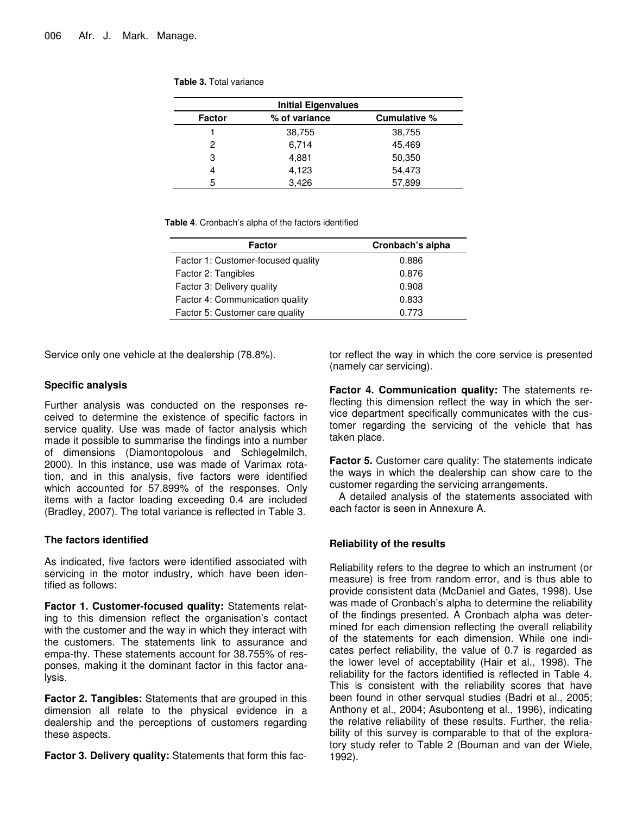| <b>Table 3. Total variance</b> |
|--------------------------------|
|--------------------------------|

|               | <b>Initial Eigenvalues</b> |              |
|---------------|----------------------------|--------------|
| <b>Factor</b> | % of variance              | Cumulative % |
|               | 38,755                     | 38,755       |
| 2             | 6,714                      | 45,469       |
| 3             | 4,881                      | 50,350       |
| 4             | 4,123                      | 54,473       |
| 5             | 3.426                      | 57,899       |

**Table 4**. Cronbach's alpha of the factors identified

| <b>Factor</b>                      | Cronbach's alpha |
|------------------------------------|------------------|
| Factor 1: Customer-focused quality | 0.886            |
| Factor 2: Tangibles                | 0.876            |
| Factor 3: Delivery quality         | 0.908            |
| Factor 4: Communication quality    | 0.833            |
| Factor 5: Customer care quality    | 0.773            |

Service only one vehicle at the dealership (78.8%).

 $\overline{a}$ 

#### **Specific analysis**

Further analysis was conducted on the responses received to determine the existence of specific factors in service quality. Use was made of factor analysis which made it possible to summarise the findings into a number of dimensions (Diamontopolous and Schlegelmilch, 2000). In this instance, use was made of Varimax rotation, and in this analysis, five factors were identified which accounted for 57.899% of the responses. Only items with a factor loading exceeding 0.4 are included (Bradley, 2007). The total variance is reflected in Table 3.

#### **The factors identified**

As indicated, five factors were identified associated with servicing in the motor industry, which have been identified as follows:

**Factor 1. Customer-focused quality:** Statements relating to this dimension reflect the organisation's contact with the customer and the way in which they interact with the customers. The statements link to assurance and empa-thy. These statements account for 38.755% of responses, making it the dominant factor in this factor analysis.

**Factor 2. Tangibles:** Statements that are grouped in this dimension all relate to the physical evidence in a dealership and the perceptions of customers regarding these aspects.

**Factor 3. Delivery quality:** Statements that form this fac-

tor reflect the way in which the core service is presented (namely car servicing).

**Factor 4. Communication quality:** The statements reflecting this dimension reflect the way in which the service department specifically communicates with the customer regarding the servicing of the vehicle that has taken place.

**Factor 5.** Customer care quality: The statements indicate the ways in which the dealership can show care to the customer regarding the servicing arrangements.

A detailed analysis of the statements associated with each factor is seen in Annexure A.

#### **Reliability of the results**

Reliability refers to the degree to which an instrument (or measure) is free from random error, and is thus able to provide consistent data (McDaniel and Gates, 1998). Use was made of Cronbach's alpha to determine the reliability of the findings presented. A Cronbach alpha was determined for each dimension reflecting the overall reliability of the statements for each dimension. While one indicates perfect reliability, the value of 0.7 is regarded as the lower level of acceptability (Hair et al., 1998). The reliability for the factors identified is reflected in Table 4. This is consistent with the reliability scores that have been found in other servqual studies (Badri et al., 2005; Anthony et al., 2004; Asubonteng et al., 1996), indicating the relative reliability of these results. Further, the reliability of this survey is comparable to that of the exploratory study refer to Table 2 (Bouman and van der Wiele, 1992).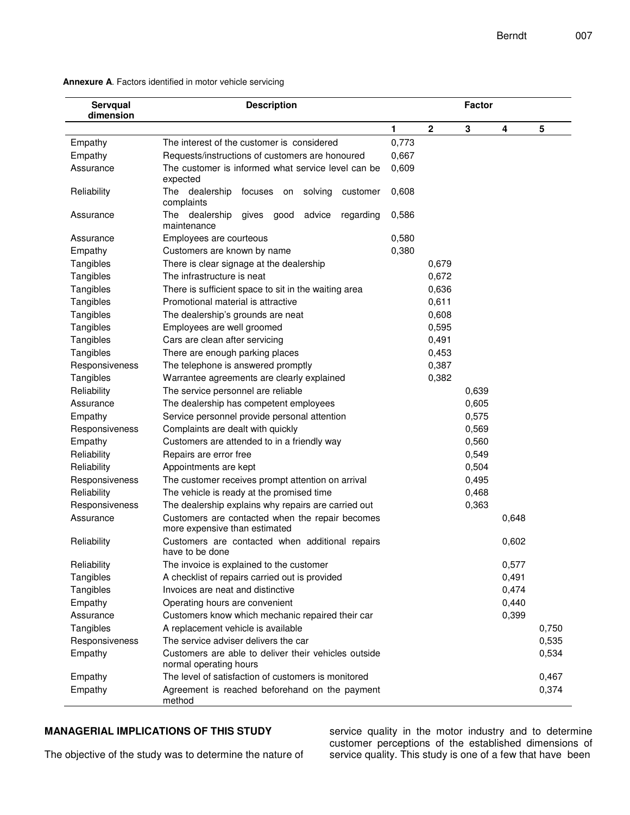| Servqual<br>dimension | <b>Description</b>                                                               |       | <b>Factor</b> |       |       |       |
|-----------------------|----------------------------------------------------------------------------------|-------|---------------|-------|-------|-------|
|                       |                                                                                  | 1     | $\mathbf 2$   | 3     | 4     | 5     |
| Empathy               | The interest of the customer is considered                                       | 0,773 |               |       |       |       |
| Empathy               | Requests/instructions of customers are honoured                                  | 0,667 |               |       |       |       |
| Assurance             | The customer is informed what service level can be<br>expected                   |       |               |       |       |       |
| Reliability           | The dealership<br>solving<br>focuses on<br>customer<br>complaints                |       |               |       |       |       |
| Assurance             | The dealership<br>gives<br>advice<br>good<br>regarding<br>maintenance            | 0,586 |               |       |       |       |
| Assurance             | Employees are courteous                                                          | 0,580 |               |       |       |       |
| Empathy               | Customers are known by name                                                      | 0,380 |               |       |       |       |
| Tangibles             | There is clear signage at the dealership                                         |       | 0,679         |       |       |       |
| Tangibles             | The infrastructure is neat                                                       |       | 0,672         |       |       |       |
| Tangibles             | There is sufficient space to sit in the waiting area                             |       | 0,636         |       |       |       |
| Tangibles             | Promotional material is attractive                                               |       | 0,611         |       |       |       |
| Tangibles             | The dealership's grounds are neat                                                |       | 0,608         |       |       |       |
| Tangibles             | Employees are well groomed                                                       |       | 0,595         |       |       |       |
| Tangibles             | Cars are clean after servicing                                                   |       | 0,491         |       |       |       |
| Tangibles             | There are enough parking places                                                  |       | 0,453         |       |       |       |
| Responsiveness        | The telephone is answered promptly                                               |       | 0,387         |       |       |       |
| Tangibles             | Warrantee agreements are clearly explained                                       |       |               |       |       |       |
| Reliability           | The service personnel are reliable                                               |       |               | 0,639 |       |       |
| Assurance             | The dealership has competent employees                                           |       |               | 0,605 |       |       |
| Empathy               | Service personnel provide personal attention                                     |       |               | 0,575 |       |       |
| Responsiveness        | Complaints are dealt with quickly                                                |       |               | 0,569 |       |       |
| Empathy               | Customers are attended to in a friendly way                                      |       |               | 0,560 |       |       |
| Reliability           | Repairs are error free                                                           |       |               | 0,549 |       |       |
| Reliability           | Appointments are kept                                                            |       |               | 0,504 |       |       |
| Responsiveness        | The customer receives prompt attention on arrival                                |       |               | 0,495 |       |       |
| Reliability           | The vehicle is ready at the promised time                                        |       |               | 0,468 |       |       |
| Responsiveness        | The dealership explains why repairs are carried out                              |       |               | 0,363 |       |       |
| Assurance             | Customers are contacted when the repair becomes<br>more expensive than estimated |       |               |       | 0,648 |       |
| Reliability           | Customers are contacted when additional repairs<br>have to be done               |       |               |       | 0,602 |       |
| Reliability           | The invoice is explained to the customer                                         |       |               |       | 0,577 |       |
| Tangibles             | A checklist of repairs carried out is provided                                   |       |               |       | 0,491 |       |
| Tangibles             | Invoices are neat and distinctive                                                |       |               |       | 0,474 |       |
| Empathy               | Operating hours are convenient                                                   |       |               |       | 0,440 |       |
| Assurance             | Customers know which mechanic repaired their car                                 |       |               |       | 0,399 |       |
| Tangibles             | A replacement vehicle is available                                               |       |               |       |       | 0,750 |
| Responsiveness        | The service adviser delivers the car                                             |       |               |       |       | 0,535 |
| Empathy               | Customers are able to deliver their vehicles outside                             |       |               |       |       | 0,534 |
|                       | normal operating hours                                                           |       |               |       |       |       |
| Empathy               | The level of satisfaction of customers is monitored                              |       |               |       |       | 0,467 |
| Empathy               | Agreement is reached beforehand on the payment<br>method                         |       |               |       |       | 0,374 |

**Annexure A**. Factors identified in motor vehicle servicing

## **MANAGERIAL IMPLICATIONS OF THIS STUDY**

service quality in the motor industry and to determine customer perceptions of the established dimensions of service quality. This study is one of a few that have been

The objective of the study was to determine the nature of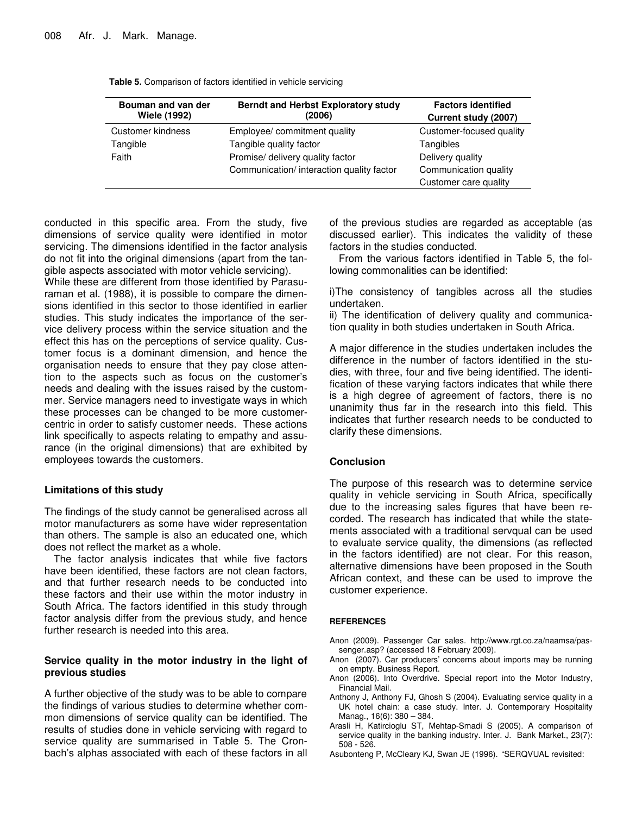| Bouman and van der<br><b>Wiele (1992)</b> | <b>Berndt and Herbst Exploratory study</b><br>(2006) | <b>Factors identified</b><br>Current study (2007) |
|-------------------------------------------|------------------------------------------------------|---------------------------------------------------|
| Customer kindness                         | Employee/ commitment quality                         | Customer-focused quality                          |
| Tangible                                  | Tangible quality factor                              | Tangibles                                         |
| Faith                                     | Promise/ delivery quality factor                     | Delivery quality                                  |
|                                           | Communication/ interaction quality factor            | Communication quality                             |
|                                           |                                                      | Customer care quality                             |

**Table 5.** Comparison of factors identified in vehicle servicing

conducted in this specific area. From the study, five dimensions of service quality were identified in motor servicing. The dimensions identified in the factor analysis do not fit into the original dimensions (apart from the tangible aspects associated with motor vehicle servicing).

While these are different from those identified by Parasuraman et al. (1988), it is possible to compare the dimensions identified in this sector to those identified in earlier studies. This study indicates the importance of the service delivery process within the service situation and the effect this has on the perceptions of service quality. Customer focus is a dominant dimension, and hence the organisation needs to ensure that they pay close attention to the aspects such as focus on the customer's needs and dealing with the issues raised by the custommer. Service managers need to investigate ways in which these processes can be changed to be more customercentric in order to satisfy customer needs. These actions link specifically to aspects relating to empathy and assurance (in the original dimensions) that are exhibited by employees towards the customers.

#### **Limitations of this study**

The findings of the study cannot be generalised across all motor manufacturers as some have wider representation than others. The sample is also an educated one, which does not reflect the market as a whole.

The factor analysis indicates that while five factors have been identified, these factors are not clean factors, and that further research needs to be conducted into these factors and their use within the motor industry in South Africa. The factors identified in this study through factor analysis differ from the previous study, and hence further research is needed into this area.

#### **Service quality in the motor industry in the light of previous studies**

A further objective of the study was to be able to compare the findings of various studies to determine whether common dimensions of service quality can be identified. The results of studies done in vehicle servicing with regard to service quality are summarised in Table 5. The Cronbach's alphas associated with each of these factors in all of the previous studies are regarded as acceptable (as discussed earlier). This indicates the validity of these factors in the studies conducted.

From the various factors identified in Table 5, the following commonalities can be identified:

i)The consistency of tangibles across all the studies undertaken.

ii) The identification of delivery quality and communication quality in both studies undertaken in South Africa.

A major difference in the studies undertaken includes the difference in the number of factors identified in the studies, with three, four and five being identified. The identification of these varying factors indicates that while there is a high degree of agreement of factors, there is no unanimity thus far in the research into this field. This indicates that further research needs to be conducted to clarify these dimensions.

#### **Conclusion**

The purpose of this research was to determine service quality in vehicle servicing in South Africa, specifically due to the increasing sales figures that have been recorded. The research has indicated that while the statements associated with a traditional servqual can be used to evaluate service quality, the dimensions (as reflected in the factors identified) are not clear. For this reason, alternative dimensions have been proposed in the South African context, and these can be used to improve the customer experience.

#### **REFERENCES**

- Anon (2009). Passenger Car sales. http://www.rgt.co.za/naamsa/passenger.asp? (accessed 18 February 2009).
- Anon (2007). Car producers' concerns about imports may be running on empty. Business Report.
- Anon (2006). Into Overdrive. Special report into the Motor Industry, Financial Mail.
- Anthony J, Anthony FJ, Ghosh S (2004). Evaluating service quality in a UK hotel chain: a case study. Inter. J. Contemporary Hospitality Manag., 16(6): 380 – 384.
- Arasli H, Katircioglu ST, Mehtap-Smadi S (2005). A comparison of service quality in the banking industry. Inter. J. Bank Market*.*, 23(7): 508 - 526.
- Asubonteng P, McCleary KJ, Swan JE (1996). "SERQVUAL revisited: